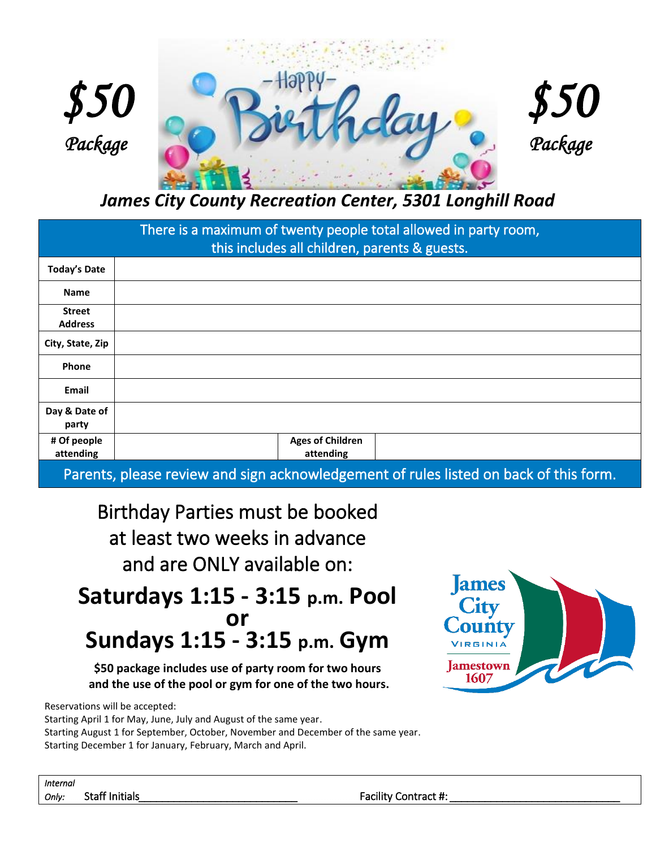





*James City County Recreation Center, 5301 Longhill Road*

| There is a maximum of twenty people total allowed in party room,<br>this includes all children, parents & guests. |                                      |  |  |
|-------------------------------------------------------------------------------------------------------------------|--------------------------------------|--|--|
| <b>Today's Date</b>                                                                                               |                                      |  |  |
| <b>Name</b>                                                                                                       |                                      |  |  |
| <b>Street</b><br><b>Address</b>                                                                                   |                                      |  |  |
| City, State, Zip                                                                                                  |                                      |  |  |
| Phone                                                                                                             |                                      |  |  |
| Email                                                                                                             |                                      |  |  |
| Day & Date of<br>party                                                                                            |                                      |  |  |
| # Of people<br>attending                                                                                          | <b>Ages of Children</b><br>attending |  |  |

Parents, please review and sign acknowledgement of rules listed on back of this form.

Birthday Parties must be booked at least two weeks in advance and are ONLY available on:

## **Saturdays 1:15 - 3:15 p.m. Pool or Sundays 1:15 - 3:15 p.m. Gym**

**\$50 package includes use of party room for two hours and the use of the pool or gym for one of the two hours.**

Reservations will be accepted:

Starting April 1 for May, June, July and August of the same year. Starting August 1 for September, October, November and December of the same year. Starting December 1 for January, February, March and April.



| <i>Internal</i> |                       |
|-----------------|-----------------------|
| Only:           | <b>Staff Initials</b> |

## Facility Contract #: